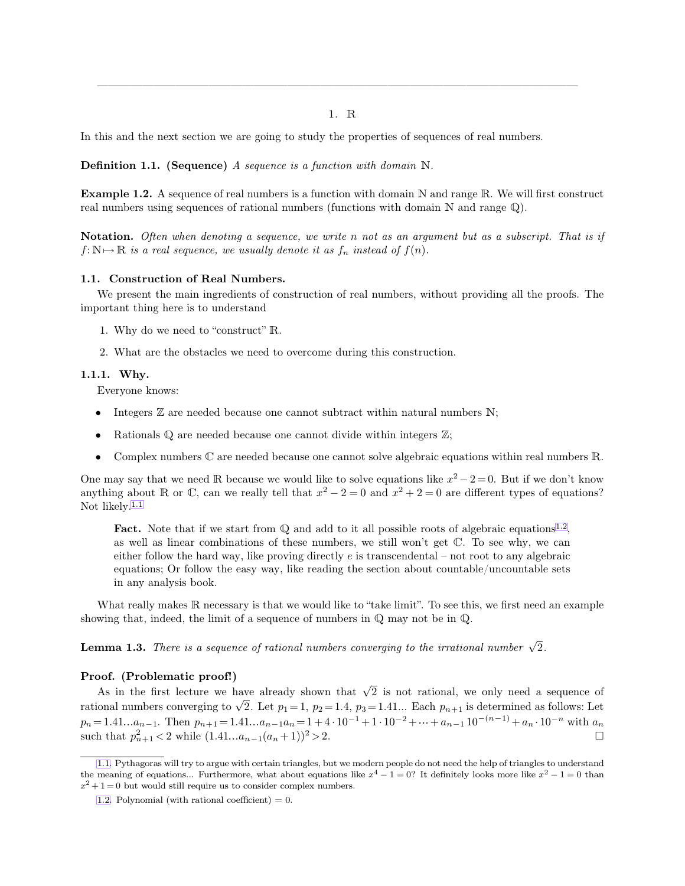<span id="page-0-1"></span>1. R

<span id="page-0-2"></span><span id="page-0-0"></span>———————————————————————————————————————————

In this and the next section we are going to study the properties of sequences of real numbers.

**Definition 1.1. (Sequence)** *A sequence is a function with domain* N*.*

**Example 1.2.** A sequence of real numbers is a function with domain N and range R. We will first construct real numbers using sequences of rational numbers (functions with domain  $N$  and range  $\mathbb{Q}$ ).

**Notation.** *Often when denoting a sequence, we write* n *not as an argument but as a subscript. That is if*  $f: \mathbb{N} \mapsto \mathbb{R}$  *is a real sequence, we usually denote it as*  $f_n$  *instead of*  $f(n)$ *.* 

#### **1.1. Construction of Real Numbers.**

We present the main ingredients of construction of real numbers, without providing all the proofs. The important thing here is to understand

- 1. Why do we need to "construct" R.
- 2. What are the obstacles we need to overcome during this construction.

# **1.1.1. Why.**

Everyone knows:

- Integers  $\mathbb Z$  are needed because one cannot subtract within natural numbers  $N$ ;
- Rationals  $\mathbb Q$  are needed because one cannot divide within integers  $\mathbb Z$ ;
- Complex numbers  $\mathbb C$  are needed because one cannot solve algebraic equations within real numbers  $\mathbb R$ .

One may say that we need R because we would like to solve equations like  $x^2 - 2 = 0$ . But if we don't know anything about R or C, can we really tell that  $x^2 - 2 = 0$  and  $x^2 + 2 = 0$  are different types of equations? Not likely.<sup>1.1</sup>

**Fact.** Note that if we start from Q and add to it all possible roots of algebraic equations<sup>1.2</sup>, as well as linear combinations of these numbers, we still won't get  $\mathbb C$ . To see why, we can either follow the hard way, like proving directly  $e$  is transcendental – not root to any algebraic equations; Or follow the easy way, like reading the section about countable/uncountable sets in any analysis book.

What really makes R necessary is that we would like to "take limit". To see this, we first need an example showing that, indeed, the limit of a sequence of numbers in  $\mathbb Q$  may not be in  $\mathbb Q$ .

**Lemma 1.3.** There is a sequence of rational numbers converging to the irrational number  $\sqrt{2}$ .

### **Proof. (Problematic proof!)**

As in the first lecture we have already shown that  $\sqrt{2}$  is not rational, we only need a sequence of rational numbers converging to  $\sqrt{2}$ . Let  $p_1 = 1$ ,  $p_2 = 1.4$ ,  $p_3 = 1.41...$  Each  $p_{n+1}$  is determined as follows: Let  $p_n = 1.41...a_{n-1}$ . Then  $p_{n+1} = 1.41...a_{n-1}a_n = 1 + 4 \cdot 10^{-1} + 1 \cdot 10^{-2} + \dots + a_{n-1} 10^{-(n-1)} + a_n \cdot 10^{-n}$  with  $a_n$ such that  $p_{n+1}^2 < 2$  while  $(1.41...a_{n-1}(a_n+1))^2 > 2$ .

[<sup>1.1.</sup>](#page-0-0) Pythagoras will try to argue with certain triangles, but we modern people do not need the help of triangles to understand the meaning of equations... Furthermore, what about equations like  $x^4 - 1 = 0$ ? It definitely looks more like  $x^2 - 1 = 0$  than  $x^2 + 1 = 0$  but would still require us to consider complex numbers.

[<sup>1.2.</sup>](#page-0-1) Polynomial (with rational coefficient)  $= 0$ .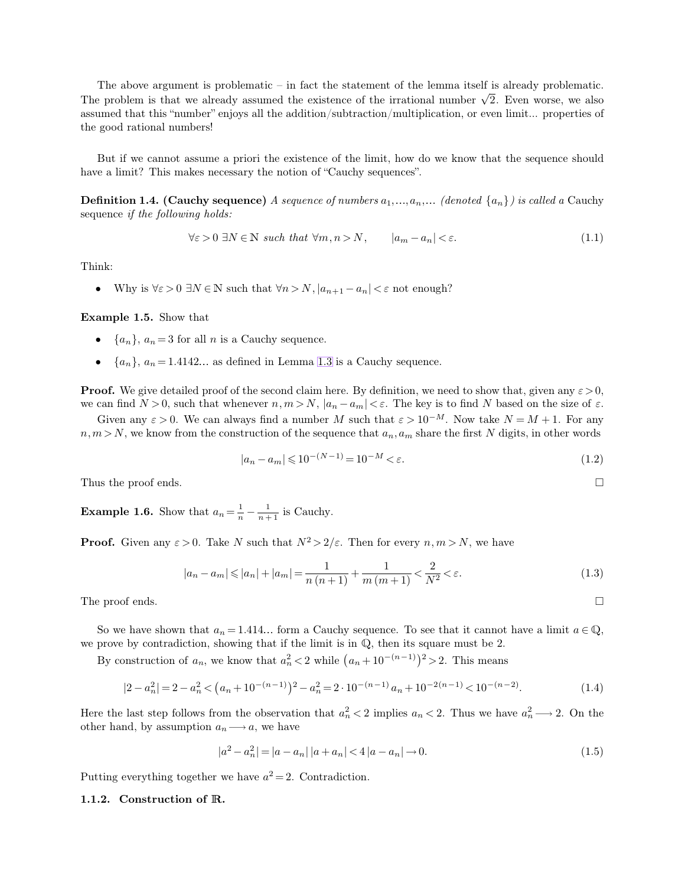The above argument is problematic – in fact the statement of the lemma itself is already problematic. The problem is that we already assumed the existence of the irrational number  $\sqrt{2}$ . Even worse, we also assumed that this "number" enjoys all the addition/subtraction/multiplication, or even limit... properties of the good rational numbers!

But if we cannot assume a priori the existence of the limit, how do we know that the sequence should have a limit? This makes necessary the notion of "Cauchy sequences".

**Definition 1.4. (Cauchy sequence)** *A sequence of numbers*  $a_1, \ldots, a_n, \ldots$  *(denoted*  $\{a_n\}$ *) is called a* Cauchy sequence *if the following holds:*

$$
\forall \varepsilon > 0 \ \exists N \in \mathbb{N} \ such \ that \ \forall m, n > N, \qquad |a_m - a_n| < \varepsilon. \tag{1.1}
$$

Think:

• Why is  $\forall \varepsilon > 0 \ \exists N \in \mathbb{N}$  such that  $\forall n > N, |a_{n+1} - a_n| < \varepsilon$  not enough?

**Example 1.5.** Show that

- $\{a_n\}, a_n = 3$  for all *n* is a Cauchy sequence.
- $\{a_n\}, a_n = 1.4142...$  as defined in Lemma [1.3](#page-0-2) is a Cauchy sequence.

**Proof.** We give detailed proof of the second claim here. By definition, we need to show that, given any  $\varepsilon > 0$ , we can find  $N > 0$ , such that whenever  $n, m > N$ ,  $|a_n - a_m| < \varepsilon$ . The key is to find N based on the size of  $\varepsilon$ .

Given any  $\varepsilon > 0$ . We can always find a number M such that  $\varepsilon > 10^{-M}$ . Now take  $N = M + 1$ . For any  $n,m>N$ , we know from the construction of the sequence that  $a_n,a_m$  share the first N digits, in other words

$$
|a_n - a_m| \leq 10^{-(N-1)} = 10^{-M} < \varepsilon. \tag{1.2}
$$

Thus the proof ends.  $\square$ 

**Example 1.6.** Show that  $a_n = \frac{1}{n} - \frac{1}{n+1}$  is Cauchy.

**Proof.** Given any  $\varepsilon > 0$ . Take N such that  $N^2 > 2/\varepsilon$ . Then for every  $n, m > N$ , we have

$$
|a_n - a_m| \le |a_n| + |a_m| = \frac{1}{n(n+1)} + \frac{1}{m(m+1)} < \frac{2}{N^2} < \varepsilon. \tag{1.3}
$$

The proof ends.  $\Box$ 

So we have shown that  $a_n = 1.414...$  form a Cauchy sequence. To see that it cannot have a limit  $a \in \mathbb{Q}$ , we prove by contradiction, showing that if the limit is in  $\mathbb{Q}$ , then its square must be 2.

By construction of  $a_n$ , we know that  $a_n^2 < 2$  while  $(a_n + 10^{-(n-1)})^2 > 2$ . This means

$$
|2 - a_n^2| = 2 - a_n^2 < (a_n + 10^{-(n-1)})^2 - a_n^2 = 2 \cdot 10^{-(n-1)} a_n + 10^{-2(n-1)} < 10^{-(n-2)}.
$$
\n
$$
(1.4)
$$

Here the last step follows from the observation that  $a_n^2 < 2$  implies  $a_n < 2$ . Thus we have  $a_n^2 \longrightarrow 2$ . On the other hand, by assumption  $a_n \longrightarrow a$ , we have

$$
|a^2 - a_n^2| = |a - a_n| \, |a + a_n| < 4 \, |a - a_n| \to 0. \tag{1.5}
$$

Putting everything together we have  $a^2 = 2$ . Contradiction.

# **1.1.2. Construction of** R**.**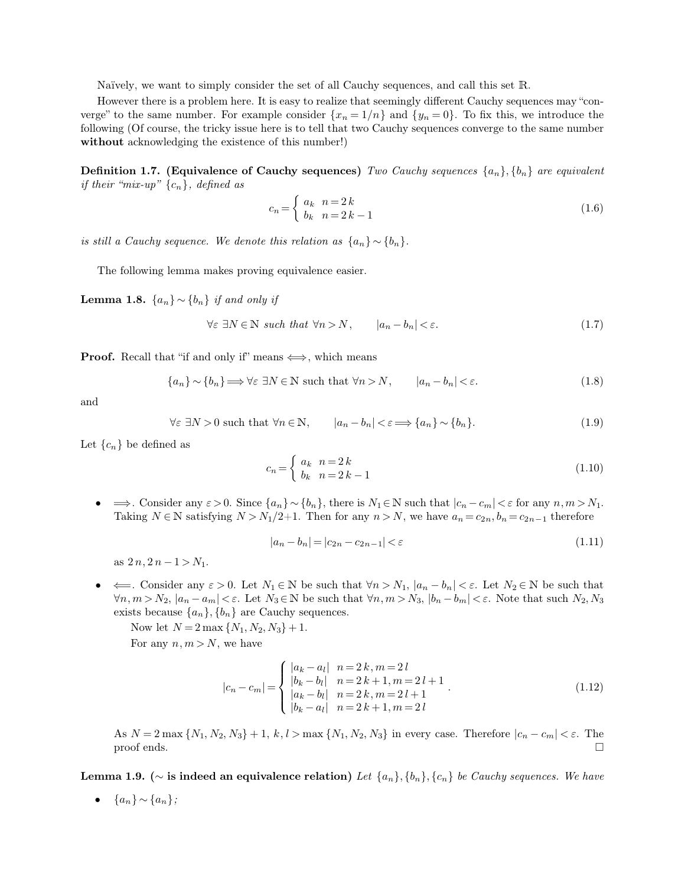<span id="page-2-0"></span>Naïvely, we want to simply consider the set of all Cauchy sequences, and call this set R.

However there is a problem here. It is easy to realize that seemingly different Cauchy sequences may "converge" to the same number. For example consider  $\{x_n = 1/n\}$  and  $\{y_n = 0\}$ . To fix this, we introduce the following (Of course, the tricky issue here is to tell that two Cauchy sequences converge to the same number **without** acknowledging the existence of this number!)

**Definition 1.7. (Equivalence of Cauchy sequences)** *Two Cauchy sequences*  $\{a_n\}, \{b_n\}$  *are equivalent if their "mix-up"* {cn}*, defined as*

$$
c_n = \begin{cases} a_k & n = 2 \, k \\ b_k & n = 2 \, k - 1 \end{cases} \tag{1.6}
$$

*is still a Cauchy sequence. We denote this relation as*  $\{a_n\} \sim \{b_n\}$ .

The following lemma makes proving equivalence easier.

**Lemma 1.8.**  ${a_n} \sim {b_n}$  *if and only if* 

$$
\forall \varepsilon \ \exists N \in \mathbb{N} \ such \ that \ \forall n > N, \qquad |a_n - b_n| < \varepsilon. \tag{1.7}
$$

**Proof.** Recall that "if and only if" means  $\iff$ , which means

$$
\{a_n\} \sim \{b_n\} \Longrightarrow \forall \varepsilon \ \exists N \in \mathbb{N} \text{ such that } \forall n > N, \qquad |a_n - b_n| < \varepsilon. \tag{1.8}
$$

and

$$
\forall \varepsilon \exists N > 0 \text{ such that } \forall n \in \mathbb{N}, \qquad |a_n - b_n| < \varepsilon \Longrightarrow \{a_n\} \sim \{b_n\}. \tag{1.9}
$$

Let  ${c_n}$  be defined as

$$
c_n = \begin{cases} a_k & n = 2k \\ b_k & n = 2k - 1 \end{cases}
$$
 (1.10)

•  $\Rightarrow$ . Consider any  $\varepsilon > 0$ . Since  $\{a_n\} \sim \{b_n\}$ , there is  $N_1 \in \mathbb{N}$  such that  $|c_n - c_m| < \varepsilon$  for any  $n, m > N_1$ . Taking  $N \in \mathbb{N}$  satisfying  $N > N_1/2+1$ . Then for any  $n > N$ , we have  $a_n = c_{2n}, b_n = c_{2n-1}$  therefore

$$
|a_n - b_n| = |c_{2n} - c_{2n-1}| < \varepsilon \tag{1.11}
$$

as  $2n, 2n-1 > N_1$ .

•  $\iff$  Consider any  $\varepsilon > 0$ . Let  $N_1 \in \mathbb{N}$  be such that  $\forall n > N_1$ ,  $|a_n - b_n| < \varepsilon$ . Let  $N_2 \in \mathbb{N}$  be such that  $\forall n,m>N_2,\ |a_n-a_m|<\varepsilon$ . Let  $N_3\in\mathbb{N}$  be such that  $\forall n,m>N_3,\ |b_n-b_m|<\varepsilon$ . Note that such  $N_2,N_3$ exists because  $\{a_n\}, \{b_n\}$  are Cauchy sequences.

Now let  $N = 2 \max \{N_1, N_2, N_3\} + 1$ . For any  $n, m > N$ , we have

$$
|c_n - c_m| = \begin{cases} |a_k - a_l| & n = 2k, m = 2l \\ |b_k - b_l| & n = 2k + 1, m = 2l + 1 \\ |a_k - b_l| & n = 2k, m = 2l + 1 \\ |b_k - a_l| & n = 2k + 1, m = 2l \end{cases}
$$
(1.12)

As  $N = 2$  max  $\{N_1, N_2, N_3\} + 1$ ,  $k, l >$  max  $\{N_1, N_2, N_3\}$  in every case. Therefore  $|c_n - c_m| < \varepsilon$ . The proof ends.  $\Box$  proof ends.

**Lemma 1.9. (**∼ **is indeed an equivalence relation)** *Let* {a<sup>n</sup>}, {b<sup>n</sup>}, {c<sup>n</sup>} *be Cauchy sequences. We have*

 $\bullet$  { $a_n$ } ∼ { $a_n$ };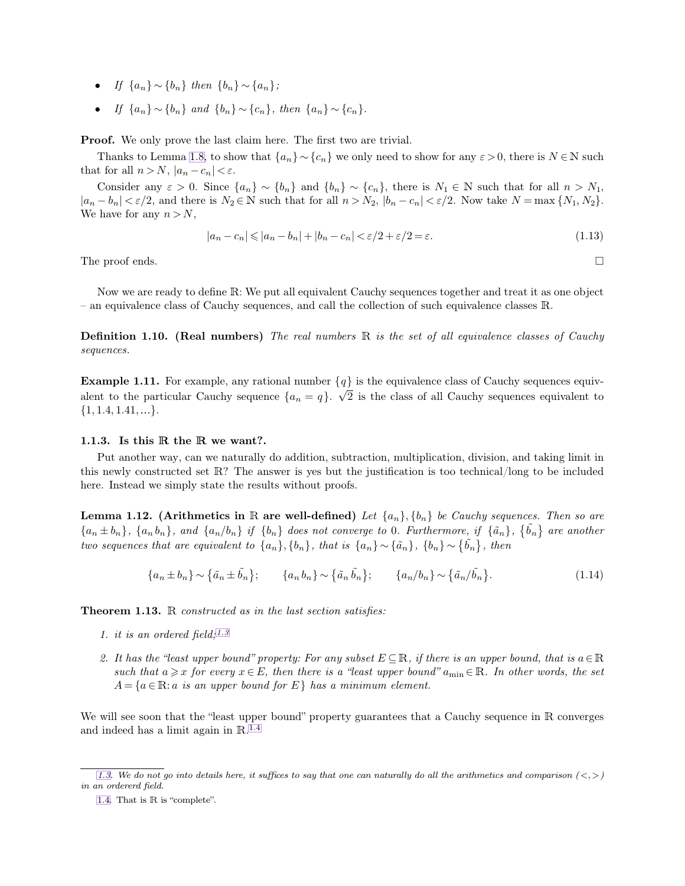- <span id="page-3-1"></span><span id="page-3-0"></span>• *If*  $\{a_n\} \sim \{b_n\}$  *then*  $\{b_n\} \sim \{a_n\}$ ;
- *If*  $\{a_n\} \sim \{b_n\}$  *and*  $\{b_n\} \sim \{c_n\}$ *, then*  $\{a_n\} \sim \{c_n\}$ *.*

**Proof.** We only prove the last claim here. The first two are trivial.

Thanks to Lemma [1.8,](#page-2-0) to show that  $\{a_n\} \sim \{c_n\}$  we only need to show for any  $\varepsilon > 0$ , there is  $N \in \mathbb{N}$  such that for all  $n > N$ ,  $|a_n - c_n| < \varepsilon$ .

Consider any  $\varepsilon > 0$ . Since  $\{a_n\} \sim \{b_n\}$  and  $\{b_n\} \sim \{c_n\}$ , there is  $N_1 \in \mathbb{N}$  such that for all  $n > N_1$ ,  $|a_n - b_n| < \varepsilon/2$ , and there is  $N_2 \in \mathbb{N}$  such that for all  $n > N_2$ ,  $|b_n - c_n| < \varepsilon/2$ . Now take  $N = \max\{N_1, N_2\}$ . We have for any  $n > N$ ,

$$
|a_n - c_n| \leq |a_n - b_n| + |b_n - c_n| < \varepsilon/2 + \varepsilon/2 = \varepsilon. \tag{1.13}
$$

The proof ends.  $\Box$ 

Now we are ready to define R: We put all equivalent Cauchy sequences together and treat it as one object – an equivalence class of Cauchy sequences, and call the collection of such equivalence classes R.

**Definition 1.10. (Real numbers)** *The real numbers* R *is the set of all equivalence classes of Cauchy sequences.*

**Example 1.11.** For example, any rational number  ${q}$  is the equivalence class of Cauchy sequences equivalent to the particular Cauchy sequence  $\{a_n = q\}$ .  $\sqrt{2}$  is the class of all Cauchy sequences equivalent to  $\{1, 1.4, 1.41, \ldots\}.$ 

### **1.1.3. Is this** R **the** R **we want?.**

Put another way, can we naturally do addition, subtraction, multiplication, division, and taking limit in this newly constructed set R? The answer is yes but the justification is too technical/long to be included here. Instead we simply state the results without proofs.

**Lemma 1.12.** (Arithmetics in R are well-defined) Let  $\{a_n\}$ ,  $\{b_n\}$  be Cauchy sequences. Then so are  ${a_n \pm b_n}$ ,  ${a_n b_n}$ , and  ${a_n/b_n}$  if  ${b_n}$  does not converge to 0*. Furthermore, if*  ${ \tilde{a_n} }$ ,  ${ \tilde{b_n} }$  are another *two sequences that are equivalent to*  $\{a_n\}$ ,  $\{b_n\}$ , *that is*  $\{a_n\} \sim \{\tilde{a}_n\}$ ,  $\{b_n\} \sim \{\tilde{b}_n\}$ , *then* 

$$
\{a_n \pm b_n\} \sim \{\tilde{a}_n \pm \tilde{b}_n\}; \qquad \{a_n b_n\} \sim \{\tilde{a}_n \tilde{b}_n\}; \qquad \{a_n/b_n\} \sim \{\tilde{a}_n/\tilde{b}_n\}. \tag{1.14}
$$

**Theorem 1.13.** R *constructed as in the last section satisfies:*

- *1. it is an ordered field;1.3*
- 2. It has the "least upper bound" property: For any subset  $E \subseteq \mathbb{R}$ , if there is an upper bound, that is  $a \in \mathbb{R}$ *such that*  $a \geq x$  *for every*  $x \in E$ *, then there is a "least upper bound"*  $a_{\min} \in \mathbb{R}$ *. In other words, the set*  $A = \{a \in \mathbb{R} : a \text{ is an upper bound for } E\}$  has a minimum element.

We will see soon that the "least upper bound" property guarantees that a Cauchy sequence in R converges and indeed has a limit again in R. 1.4

[<sup>1.3.</sup>](#page-3-0) We do not go into details here, it suffices to say that one can naturally do all the arithmetics and comparison  $\langle \langle , \rangle$ *in an ordererd field.*

[<sup>1.4.</sup>](#page-3-1) That is  $\mathbb R$  is "complete".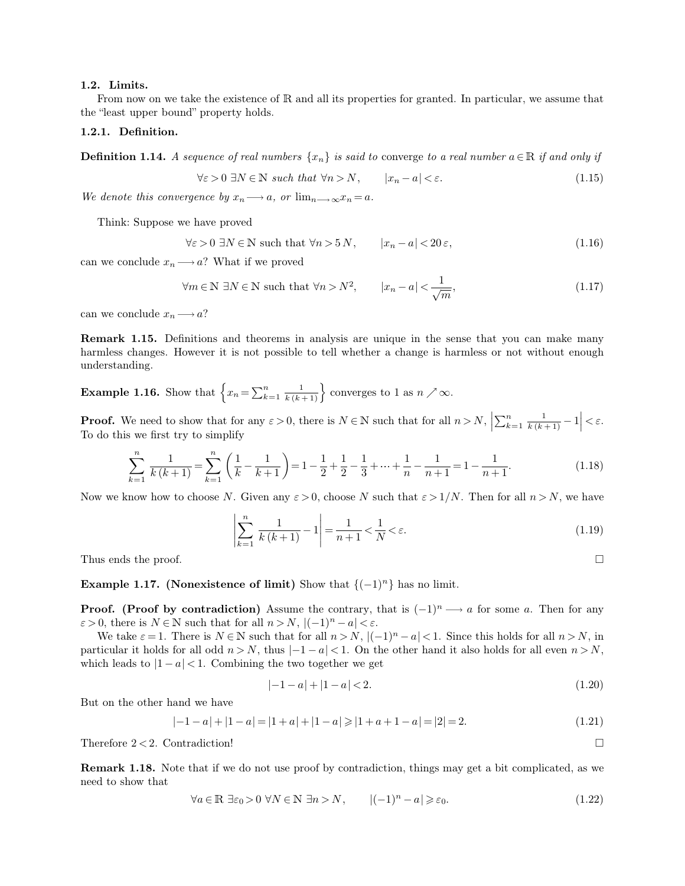#### **1.2. Limits.**

From now on we take the existence of  $\mathbb R$  and all its properties for granted. In particular, we assume that the "least upper bound" property holds.

# **1.2.1. Definition.**

**Definition 1.14.** *A sequence of real numbers*  $\{x_n\}$  *is said to converge to a real number*  $a \in \mathbb{R}$  *if and only if* 

$$
\forall \varepsilon > 0 \ \exists N \in \mathbb{N} \ such \ that \ \forall n > N, \qquad |x_n - a| < \varepsilon. \tag{1.15}
$$

*We denote this convergence by*  $x_n \longrightarrow a$ , *or*  $\lim_{n \to \infty} x_n = a$ .

Think: Suppose we have proved

$$
\forall \varepsilon > 0 \ \exists N \in \mathbb{N} \ \text{such that} \ \forall n > 5 \, N, \qquad |x_n - a| < 20 \, \varepsilon,\tag{1.16}
$$

can we conclude  $x_n \longrightarrow a$ ? What if we proved

$$
\forall m \in \mathbb{N} \ \exists N \in \mathbb{N} \ \text{such that} \ \forall n > N^2, \qquad |x_n - a| < \frac{1}{\sqrt{m}}, \tag{1.17}
$$

can we conclude  $x_n \longrightarrow a?$ 

**Remark 1.15.** Definitions and theorems in analysis are unique in the sense that you can make many harmless changes. However it is not possible to tell whether a change is harmless or not without enough understanding.

**Example 1.16.** Show that  $\left\{x_n = \sum_{k=1}^n x_k\right\}$  $\binom{n}{k+1}$ <sub>k=1</sub> $\frac{1}{k(k+1)}$ } converges to 1 as  $n \nearrow \infty$ .

**Proof.** We need to show that for any  $\varepsilon > 0$ , there is  $N \in \mathbb{N}$  such that for all  $n > N$ ,  $\left| \sum_{k=1}^{n} \right|$  $\left|\frac{n}{k+1} \frac{1}{k(k+1)} - 1\right| < \varepsilon.$ To do this we first try to simplify

$$
\sum_{k=1}^{n} \frac{1}{k(k+1)} = \sum_{k=1}^{n} \left( \frac{1}{k} - \frac{1}{k+1} \right) = 1 - \frac{1}{2} + \frac{1}{2} - \frac{1}{3} + \dots + \frac{1}{n} - \frac{1}{n+1} = 1 - \frac{1}{n+1}.
$$
\n(1.18)

Now we know how to choose N. Given any  $\varepsilon > 0$ , choose N such that  $\varepsilon > 1/N$ . Then for all  $n > N$ , we have

$$
\left| \sum_{k=1}^{n} \frac{1}{k(k+1)} - 1 \right| = \frac{1}{n+1} < \frac{1}{N} < \varepsilon. \tag{1.19}
$$

Thus ends the proof.  $\Box$ 

**Example 1.17. (Nonexistence of limit)** Show that  $\{(-1)^n\}$  has no limit.

**Proof.** (Proof by contradiction) Assume the contrary, that is  $(-1)^n \longrightarrow a$  for some a. Then for any  $\varepsilon > 0$ , there is  $N \in \mathbb{N}$  such that for all  $n > N$ ,  $|(-1)^n - a| < \varepsilon$ .

We take  $\varepsilon = 1$ . There is  $N \in \mathbb{N}$  such that for all  $n > N$ ,  $|(-1)^n - a| < 1$ . Since this holds for all  $n > N$ , in particular it holds for all odd  $n > N$ , thus  $|-1 - a| < 1$ . On the other hand it also holds for all even  $n > N$ , which leads to  $|1 - a| < 1$ . Combining the two together we get

$$
|-1 - a| + |1 - a| < 2. \tag{1.20}
$$

But on the other hand we have

$$
|-1-a|+|1-a|=|1+a|+|1-a|\geq |1+a+1-a|=|2|=2.\tag{1.21}
$$

Therefore  $2 < 2$ . Contradiction!

**Remark 1.18.** Note that if we do not use proof by contradiction, things may get a bit complicated, as we need to show that

$$
\forall a \in \mathbb{R} \exists \varepsilon_0 > 0 \ \forall N \in \mathbb{N} \ \exists n > N, \qquad |(-1)^n - a| \geq \varepsilon_0. \tag{1.22}
$$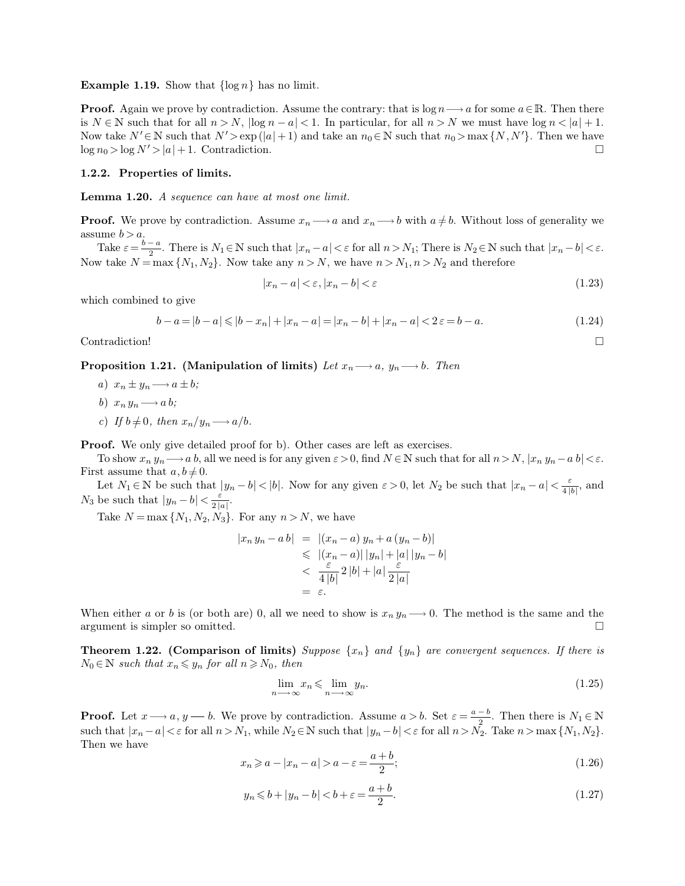<span id="page-5-2"></span><span id="page-5-1"></span>**Example 1.19.** Show that  $\{\log n\}$  has no limit.

**Proof.** Again we prove by contradiction. Assume the contrary: that is  $\log n \longrightarrow a$  for some  $a \in \mathbb{R}$ . Then there is  $N \in \mathbb{N}$  such that for all  $n > N$ ,  $|\log n - a| < 1$ . In particular, for all  $n > N$  we must have  $\log n < |a| + 1$ . Now take  $N' \in \mathbb{N}$  such that  $N' > \exp(|a| + 1)$  and take an  $n_0 \in \mathbb{N}$  such that  $n_0 > \max\{N, N'\}$ . Then we have  $\log n_0 > \log N' > |a| + 1$  Contradiction  $\log n_0 > \log N' > |a| + 1$ . Contradiction.

### **1.2.2. Properties of limits.**

**Lemma 1.20.** *A sequence can have at most one limit.*

**Proof.** We prove by contradiction. Assume  $x_n \longrightarrow a$  and  $x_n \longrightarrow b$  with  $a \neq b$ . Without loss of generality we assume  $b > a$ .

Take  $\varepsilon = \frac{b-a}{2}$  $\frac{-a}{2}$ . There is  $N_1 \in \mathbb{N}$  such that  $|x_n - a| < \varepsilon$  for all  $n > N_1$ ; There is  $N_2 \in \mathbb{N}$  such that  $|x_n - b| < \varepsilon$ . Now take  $N = \max\{N_1, N_2\}$ . Now take any  $n > N$ , we have  $n > N_1, n > N_2$  and therefore

<span id="page-5-0"></span>
$$
|x_n - a| < \varepsilon, |x_n - b| < \varepsilon \tag{1.23}
$$

which combined to give

$$
b - a = |b - a| \le |b - x_n| + |x_n - a| = |x_n - b| + |x_n - a| < 2\varepsilon = b - a. \tag{1.24}
$$

Contradiction!

**Proposition 1.21.** (Manipulation of limits) Let  $x_n \rightarrow a$ ,  $y_n \rightarrow b$ . Then

- *a*)  $x_n \pm y_n \longrightarrow a \pm b$ ;
- *b*)  $x_n y_n \longrightarrow a b$ ;
- *c*) If  $b \neq 0$ , then  $x_n/y_n \longrightarrow a/b$ .

**Proof.** We only give detailed proof for b). Other cases are left as exercises.

To show  $x_n y_n \longrightarrow a b$ , all we need is for any given  $\varepsilon > 0$ , find  $N \in \mathbb{N}$  such that for all  $n > N$ ,  $|x_n y_n - a b| < \varepsilon$ . First assume that  $a, b \neq 0$ .

Let  $N_1 \in \mathbb{N}$  be such that  $|y_n - b| < |b|$ . Now for any given  $\varepsilon > 0$ , let  $N_2$  be such that  $|x_n - a| < \frac{\varepsilon}{4|b|}$  $\frac{\varepsilon}{4 |b|}$ , and  $N_3$  be such that  $|y_n - b| < \frac{\varepsilon}{2|b|}$  $rac{\varepsilon}{2|a|}$ .

Take  $N = \max\{N_1, N_2, N_3\}$ . For any  $n > N$ , we have

$$
|x_n y_n - a b| = |(x_n - a) y_n + a (y_n - b)|
$$
  
\n
$$
\leq |(x_n - a)| |y_n| + |a| |y_n - b|
$$
  
\n
$$
< \frac{\varepsilon}{4 |b|} 2 |b| + |a| \frac{\varepsilon}{2 |a|}
$$
  
\n
$$
= \varepsilon.
$$

When either a or b is (or both are) 0, all we need to show is  $x_n y_n \longrightarrow 0$ . The method is the same and the argument is simpler so omitted.

**Theorem 1.22. (Comparison of limits)** *Suppose*  $\{x_n\}$  *and*  $\{y_n\}$  *are convergent sequences. If there is*  $N_0 \in \mathbb{N}$  *such that*  $x_n \leq y_n$  *for all*  $n \geq N_0$ *, then* 

$$
\lim_{n \to \infty} x_n \leq \lim_{n \to \infty} y_n. \tag{1.25}
$$

**Proof.** Let  $x \rightarrow a$ ,  $y \rightarrow b$ . We prove by contradiction. Assume  $a > b$ . Set  $\varepsilon = \frac{a-b}{2}$  $\frac{1}{2}$ . Then there is  $N_1 \in \mathbb{N}$ such that  $|x_n - a| < \varepsilon$  for all  $n > N_1$ , while  $N_2 \in \mathbb{N}$  such that  $|y_n - b| < \varepsilon$  for all  $n > N_2$ . Take  $n > \max\{N_1, N_2\}$ . Then we have

$$
x_n \ge a - |x_n - a| > a - \varepsilon = \frac{a+b}{2};
$$
\n(1.26)

$$
y_n \leq b + |y_n - b| < b + \varepsilon = \frac{a + b}{2}.\tag{1.27}
$$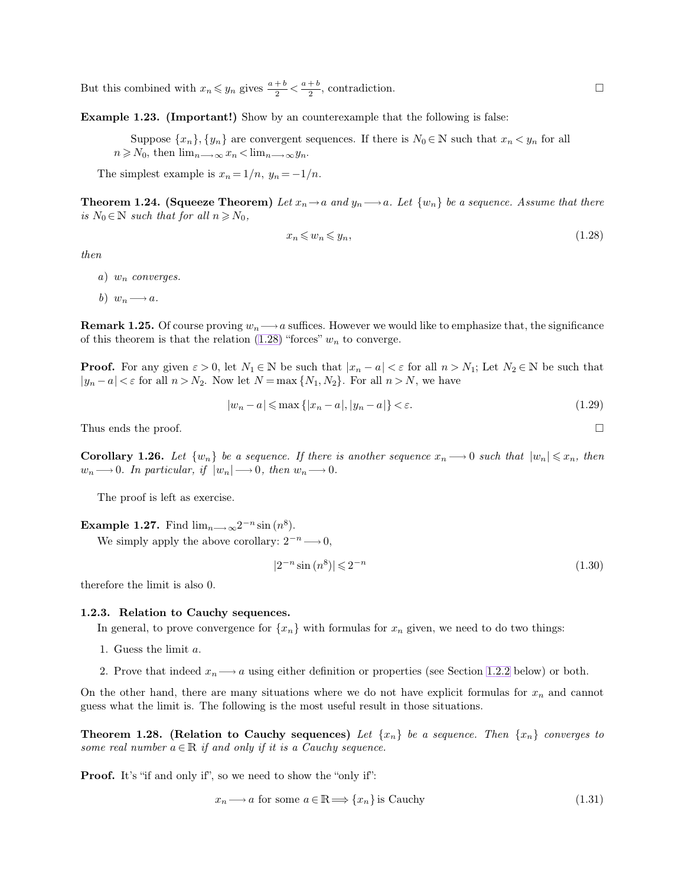<span id="page-6-2"></span>But this combined with  $x_n \leq y_n$  gives  $\frac{a+b}{2} < \frac{a+b}{2}$  $\frac{1}{2}$ , contradiction.

**Example 1.23. (Important!)** Show by an counterexample that the following is false:

Suppose  $\{x_n\}, \{y_n\}$  are convergent sequences. If there is  $N_0 \in \mathbb{N}$  such that  $x_n \lt y_n$  for all  $n \geq N_0$ , then  $\lim_{n \to \infty} x_n < \lim_{n \to \infty} y_n$ .

The simplest example is  $x_n = 1/n$ ,  $y_n = -1/n$ .

**Theorem 1.24. (Squeeze Theorem)** Let  $x_n \to a$  and  $y_n \to a$ . Let  $\{w_n\}$  be a sequence. Assume that there *is*  $N_0 \in \mathbb{N}$  *such that for all*  $n \geq N_0$ *,* 

<span id="page-6-1"></span>
$$
x_n \leqslant w_n \leqslant y_n,\tag{1.28}
$$

*then*

*a*) w<sup>n</sup> *converges.*

*b*)  $w_n \longrightarrow a$ .

**Remark 1.25.** Of course proving  $w_n \longrightarrow a$  suffices. However we would like to emphasize that, the significance of this theorem is that the relation  $(1.28)$  "forces"  $w_n$  to converge.

**Proof.** For any given  $\varepsilon > 0$ , let  $N_1 \in \mathbb{N}$  be such that  $|x_n - a| < \varepsilon$  for all  $n > N_1$ ; Let  $N_2 \in \mathbb{N}$  be such that  $|y_n - a| < \varepsilon$  for all  $n > N_2$ . Now let  $N = \max\{N_1, N_2\}$ . For all  $n > N$ , we have

$$
|w_n - a| \le \max\{|x_n - a|, |y_n - a|\} < \varepsilon. \tag{1.29}
$$

Thus ends the proof.  $\Box$ 

**Corollary 1.26.** Let  $\{w_n\}$  be a sequence. If there is another sequence  $x_n \longrightarrow 0$  such that  $|w_n| \leq x_n$ , then  $w_n \longrightarrow 0$ . In particular, if  $|w_n| \longrightarrow 0$ , then  $w_n \longrightarrow 0$ .

The proof is left as exercise.

**Example 1.27.** Find  $\lim_{n\longrightarrow\infty}2^{-n}\sin(n^8)$ .

We simply apply the above corollary:  $2^{-n} \longrightarrow 0$ ,

$$
|2^{-n}\sin\left(n^8\right)| \leqslant 2^{-n} \tag{1.30}
$$

therefore the limit is also 0.

## **1.2.3. Relation to Cauchy sequences.**

In general, to prove convergence for  $\{x_n\}$  with formulas for  $x_n$  given, we need to do two things:

- 1. Guess the limit a.
- 2. Prove that indeed  $x_n \longrightarrow a$  using either definition or properties (see Section [1.2.2](#page-5-0) below) or both.

On the other hand, there are many situations where we do not have explicit formulas for  $x_n$  and cannot guess what the limit is. The following is the most useful result in those situations.

**Theorem 1.28. (Relation to Cauchy sequences)** Let  $\{x_n\}$  be a sequence. Then  $\{x_n\}$  converges to *some real number*  $a \in \mathbb{R}$  *if and only if it is a Cauchy sequence.* 

**Proof.** It's "if and only if", so we need to show the "only if":

$$
x_n \longrightarrow a \text{ for some } a \in \mathbb{R} \Longrightarrow \{x_n\} \text{ is Cauchy}
$$
\n
$$
(1.31)
$$

<span id="page-6-0"></span>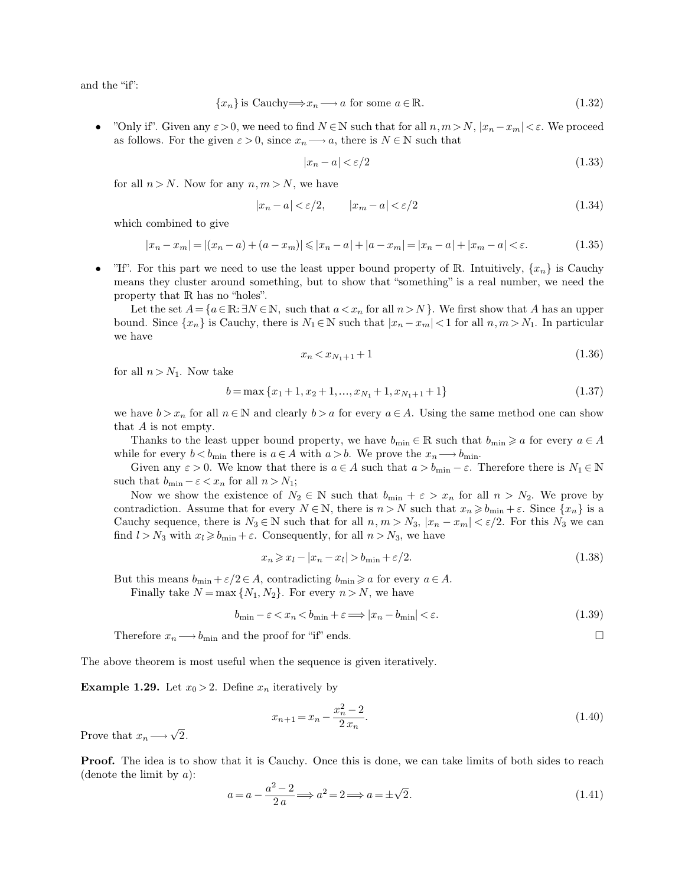and the "if":

<span id="page-7-0"></span>
$$
\{x_n\} \text{ is Cauchy} \Longrightarrow x_n \longrightarrow a \text{ for some } a \in \mathbb{R}.\tag{1.32}
$$

"Only if". Given any  $\varepsilon > 0$ , we need to find  $N \in \mathbb{N}$  such that for all  $n, m > N$ ,  $|x_n - x_m| < \varepsilon$ . We proceed as follows. For the given  $\varepsilon > 0$ , since  $x_n \longrightarrow a$ , there is  $N \in \mathbb{N}$  such that

$$
|x_n - a| < \varepsilon/2 \tag{1.33}
$$

for all  $n > N$ . Now for any  $n, m > N$ , we have

$$
|x_n - a| < \varepsilon/2, \qquad |x_m - a| < \varepsilon/2 \tag{1.34}
$$

which combined to give

$$
|x_n - x_m| = |(x_n - a) + (a - x_m)| \le |x_n - a| + |a - x_m| = |x_n - a| + |x_m - a| < \varepsilon. \tag{1.35}
$$

"If". For this part we need to use the least upper bound property of R. Intuitively,  $\{x_n\}$  is Cauchy means they cluster around something, but to show that "something" is a real number, we need the property that R has no "holes".

Let the set  $A = \{a \in \mathbb{R} : \exists N \in \mathbb{N}, \text{ such that } a < x_n \text{ for all } n > N \}$ . We first show that A has an upper bound. Since  $\{x_n\}$  is Cauchy, there is  $N_1 \in \mathbb{N}$  such that  $|x_n - x_m| < 1$  for all  $n, m > N_1$ . In particular we have

$$
x_n < x_{N_1+1} + 1 \tag{1.36}
$$

for all  $n > N_1$ . Now take

$$
b = \max\{x_1 + 1, x_2 + 1, \dots, x_{N_1} + 1, x_{N_1 + 1} + 1\}
$$
\n(1.37)

we have  $b > x_n$  for all  $n \in \mathbb{N}$  and clearly  $b > a$  for every  $a \in A$ . Using the same method one can show that A is not empty.

Thanks to the least upper bound property, we have  $b_{\min} \in \mathbb{R}$  such that  $b_{\min} \geq a$  for every  $a \in A$ while for every  $b < b_{\min}$  there is  $a \in A$  with  $a > b$ . We prove the  $x_n \longrightarrow b_{\min}$ .

Given any  $\varepsilon > 0$ . We know that there is  $a \in A$  such that  $a > b_{\min} - \varepsilon$ . Therefore there is  $N_1 \in \mathbb{N}$ such that  $b_{\min} - \varepsilon < x_n$  for all  $n > N_1$ ;

Now we show the existence of  $N_2 \in \mathbb{N}$  such that  $b_{\min} + \varepsilon > x_n$  for all  $n > N_2$ . We prove by contradiction. Assume that for every  $N \in \mathbb{N}$ , there is  $n > N$  such that  $x_n \geq b_{\min} + \varepsilon$ . Since  $\{x_n\}$  is a Cauchy sequence, there is  $N_3 \in \mathbb{N}$  such that for all  $n, m > N_3$ ,  $|x_n - x_m| < \varepsilon/2$ . For this  $N_3$  we can find  $l > N_3$  with  $x_l \geq b_{\min} + \varepsilon$ . Consequently, for all  $n > N_3$ , we have

$$
x_n \geqslant x_l - |x_n - x_l| > b_{\min} + \varepsilon/2. \tag{1.38}
$$

But this means  $b_{\min} + \varepsilon/2 \in A$ , contradicting  $b_{\min} \ge a$  for every  $a \in A$ .

Finally take  $N = \max\{N_1, N_2\}$ . For every  $n > N$ , we have

$$
b_{\min} - \varepsilon < x_n < b_{\min} + \varepsilon \Longrightarrow |x_n - b_{\min}| < \varepsilon. \tag{1.39}
$$

Therefore  $x_n \longrightarrow b_{\min}$  and the proof for "if" ends.

The above theorem is most useful when the sequence is given iteratively.

**Example 1.29.** Let  $x_0 > 2$ . Define  $x_n$  iteratively by

$$
x_{n+1} = x_n - \frac{x_n^2 - 2}{2 x_n}.\tag{1.40}
$$

Prove that  $x_n \longrightarrow \sqrt{2}$ .

**Proof.** The idea is to show that it is Cauchy. Once this is done, we can take limits of both sides to reach (denote the limit by  $a$ ):

$$
a = a - \frac{a^2 - 2}{2a} \Longrightarrow a^2 = 2 \Longrightarrow a = \pm \sqrt{2}.
$$
\n(1.41)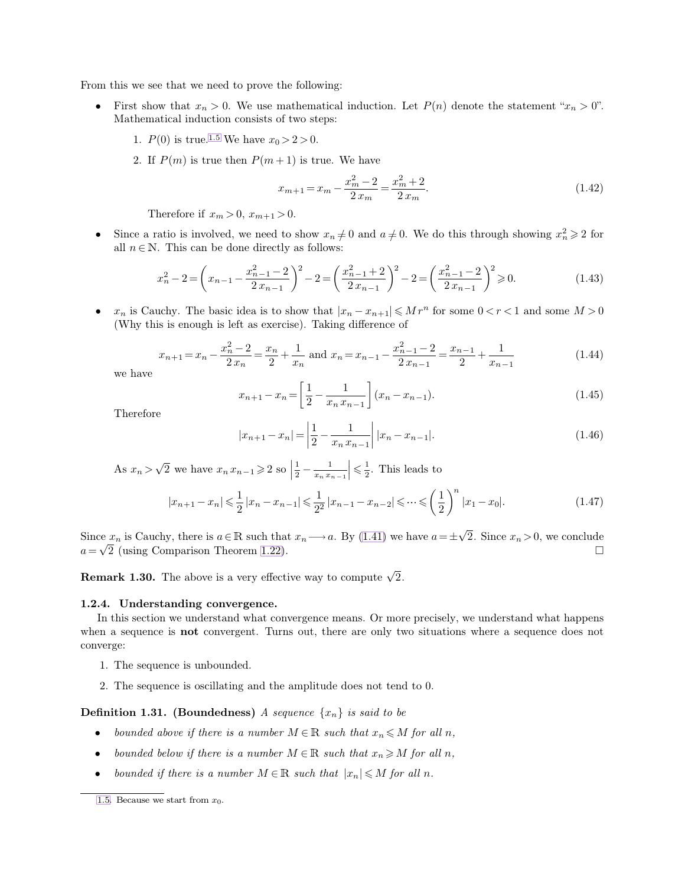From this we see that we need to prove the following:

- First show that  $x_n > 0$ . We use mathematical induction. Let  $P(n)$  denote the statement " $x_n > 0$ ". Mathematical induction consists of two steps:
	- 1.  $P(0)$  is true.<sup>1.5</sup> We have  $x_0 > 2 > 0$ .
	- 2. If  $P(m)$  is true then  $P(m+1)$  is true. We have

<span id="page-8-0"></span>
$$
x_{m+1} = x_m - \frac{x_m^2 - 2}{2x_m} = \frac{x_m^2 + 2}{2x_m}.
$$
\n(1.42)

Therefore if  $x_m > 0$ ,  $x_{m+1} > 0$ .

• Since a ratio is involved, we need to show  $x_n \neq 0$  and  $a \neq 0$ . We do this through showing  $x_n^2 \geq 2$  for all  $n \in \mathbb{N}$ . This can be done directly as follows:

$$
x_n^2 - 2 = \left(x_{n-1} - \frac{x_{n-1}^2 - 2}{2x_{n-1}}\right)^2 - 2 = \left(\frac{x_{n-1}^2 + 2}{2x_{n-1}}\right)^2 - 2 = \left(\frac{x_{n-1}^2 - 2}{2x_{n-1}}\right)^2 \ge 0.
$$
\n(1.43)

•  $x_n$  is Cauchy. The basic idea is to show that  $|x_n - x_{n+1}| \leqslant Mr^n$  for some  $0 < r < 1$  and some  $M > 0$ (Why this is enough is left as exercise). Taking difference of

$$
x_{n+1} = x_n - \frac{x_n^2 - 2}{2x_n} = \frac{x_n}{2} + \frac{1}{x_n} \text{ and } x_n = x_{n-1} - \frac{x_{n-1}^2 - 2}{2x_{n-1}} = \frac{x_{n-1}}{2} + \frac{1}{x_{n-1}}
$$
(1.44)

we have

$$
x_{n+1} - x_n = \left[\frac{1}{2} - \frac{1}{x_n x_{n-1}}\right](x_n - x_{n-1}).\tag{1.45}
$$

Therefore

$$
|x_{n+1} - x_n| = \left| \frac{1}{2} - \frac{1}{x_n x_{n-1}} \right| |x_n - x_{n-1}|.
$$
 (1.46)

As  $x_n > \sqrt{2}$  we have  $x_n x_{n-1} \ge 2$  so | 1  $\frac{1}{2} - \frac{1}{x_n x_{n-1}} \leq \frac{1}{2}$  $\frac{1}{2}$ . This leads to

$$
|x_{n+1} - x_n| \leq \frac{1}{2} |x_n - x_{n-1}| \leq \frac{1}{2^2} |x_{n-1} - x_{n-2}| \leq \dots \leq \left(\frac{1}{2}\right)^n |x_1 - x_0|.
$$
 (1.47)

Since  $x_n$  is Cauchy, there is  $a \in \mathbb{R}$  such that  $x_n \longrightarrow a$ . By [\(1.41\)](#page-7-0) we have  $a = \pm \sqrt{2}$ . Since  $x_n > 0$ , we conclude a =  $\sqrt{2}$  (using Comparison Theorem [1.22\)](#page-5-1).

**Remark 1.30.** The above is a very effective way to compute  $\sqrt{2}$ .

# **1.2.4. Understanding convergence.**

In this section we understand what convergence means. Or more precisely, we understand what happens when a sequence is **not** convergent. Turns out, there are only two situations where a sequence does not converge:

- 1. The sequence is unbounded.
- 2. The sequence is oscillating and the amplitude does not tend to 0.

**Definition 1.31.** (Boundedness) *A sequence*  $\{x_n\}$  *is said to be* 

- *bounded above if there is a number*  $M \in \mathbb{R}$  *such that*  $x_n \leq M$  *for all n*,
- *bounded below if there is a number*  $M \in \mathbb{R}$  *such that*  $x_n \geq M$  *for all* n,
- *bounded if there is a number*  $M \in \mathbb{R}$  *such that*  $|x_n| \leq M$  *for all n.*

[<sup>1.5.</sup>](#page-8-0) Because we start from  $x_0$ .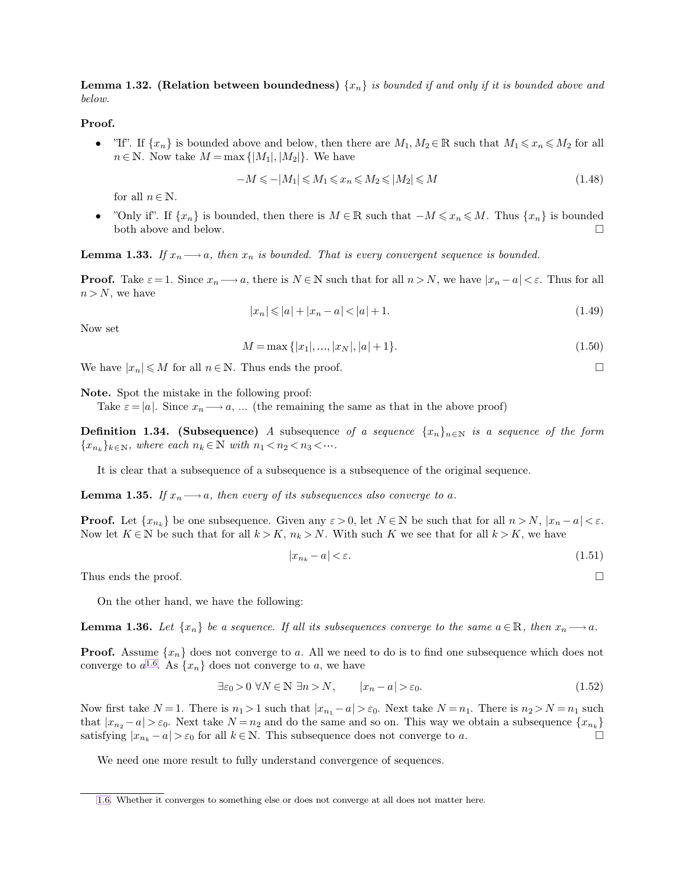<span id="page-9-2"></span><span id="page-9-1"></span><span id="page-9-0"></span>**Lemma 1.32. (Relation between boundedness)**  $\{x_n\}$  *is bounded if and only if it is bounded above and below.*

**Proof.**

• "If". If  $\{x_n\}$  is bounded above and below, then there are  $M_1, M_2 \in \mathbb{R}$  such that  $M_1 \leq x_n \leq M_2$  for all  $n \in \mathbb{N}$ . Now take  $M = \max\{|M_1|, |M_2|\}$ . We have

$$
-M \leq -|M_1| \leq M_1 \leq x_n \leq M_2 \leq |M_2| \leq M \tag{1.48}
$$

for all  $n \in \mathbb{N}$ .

"Only if". If  $\{x_n\}$  is bounded, then there is  $M \in \mathbb{R}$  such that  $-M \leq x_n \leq M$ . Thus  $\{x_n\}$  is bounded both above and below. both above and below.

**Lemma 1.33.** If  $x_n \longrightarrow a$ , then  $x_n$  is bounded. That is every convergent sequence is bounded.

**Proof.** Take  $\varepsilon = 1$ . Since  $x_n \longrightarrow a$ , there is  $N \in \mathbb{N}$  such that for all  $n > N$ , we have  $|x_n - a| < \varepsilon$ . Thus for all  $n > N$ , we have

$$
|x_n| \le |a| + |x_n - a| < |a| + 1. \tag{1.49}
$$

Now set

$$
M = \max\{|x_1|, \dots, |x_N|, |a|+1\}.
$$
\n(1.50)

We have  $|x_n| \leq M$  for all  $n \in \mathbb{N}$ . Thus ends the proof.

**Note.** Spot the mistake in the following proof:

Take  $\varepsilon = |a|$ . Since  $x_n \longrightarrow a$ , ... (the remaining the same as that in the above proof)

**Definition 1.34. (Subsequence)** *A* subsequence of a sequence  $\{x_n\}_{n\in\mathbb{N}}$  is a sequence of the form  ${x_{n_k}}_{k\in\mathbb{N}}$ , where each  $n_k \in \mathbb{N}$  with  $n_1 < n_2 < n_3 < \cdots$ .

It is clear that a subsequence of a subsequence is a subsequence of the original sequence.

**Lemma 1.35.** If  $x_n \rightarrow a$ , then every of its subsequences also converge to a.

**Proof.** Let  $\{x_{n_k}\}$  be one subsequence. Given any  $\varepsilon > 0$ , let  $N \in \mathbb{N}$  be such that for all  $n > N$ ,  $|x_n - a| < \varepsilon$ . Now let  $K \in \mathbb{N}$  be such that for all  $k > K$ ,  $n_k > N$ . With such K we see that for all  $k > K$ , we have

$$
|x_{n_k} - a| < \varepsilon. \tag{1.51}
$$

Thus ends the proof.  $\Box$ 

On the other hand, we have the following:

**Lemma 1.36.** *Let*  $\{x_n\}$  *be a sequence. If all its subsequences converge to the same*  $a \in \mathbb{R}$ *, then*  $x_n \longrightarrow a$ *.* 

**Proof.** Assume  $\{x_n\}$  does not converge to a. All we need to do is to find one subsequence which does not converge to  $a^{1.6}$ . As  $\{x_n\}$  does not converge to a, we have

$$
\exists \varepsilon_0 > 0 \ \forall N \in \mathbb{N} \ \exists n > N, \qquad |x_n - a| > \varepsilon_0. \tag{1.52}
$$

Now first take  $N=1$ . There is  $n_1 > 1$  such that  $|x_{n_1} - a| > \varepsilon_0$ . Next take  $N = n_1$ . There is  $n_2 > N = n_1$  such that  $|x_{n_2} - a| > \varepsilon_0$ . Next take  $N = n_2$  and do the same and so on. This way we obtain a subsequence  $\{x_{n_k}\}$ satisfying  $|x_{n_k} - a| > \varepsilon_0$  for all  $k \in \mathbb{N}$ . This subsequence does not converge to a.

We need one more result to fully understand convergence of sequences.

[<sup>1.6.</sup>](#page-9-0) Whether it converges to something else or does not converge at all does not matter here.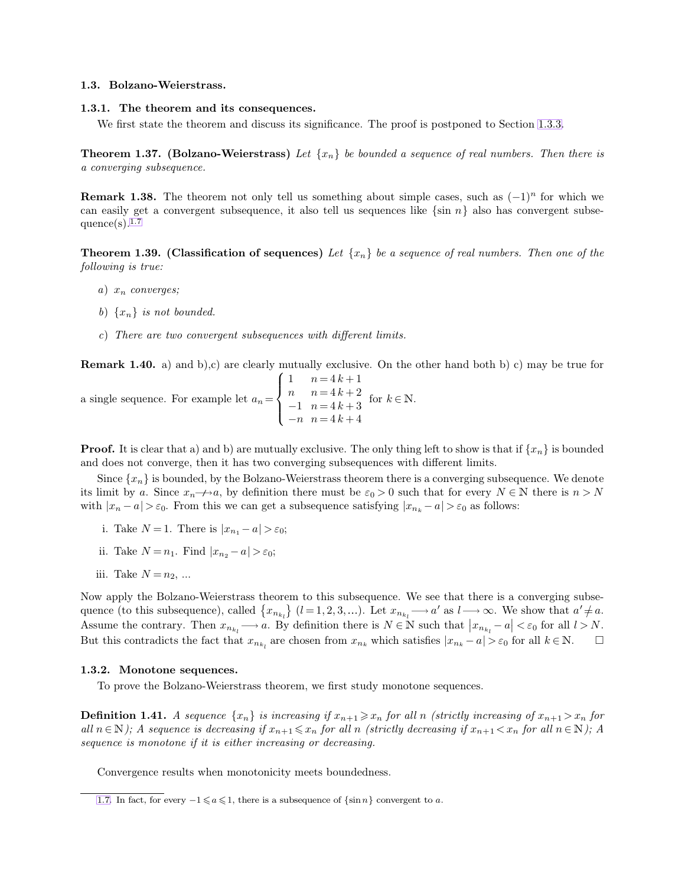# <span id="page-10-1"></span><span id="page-10-0"></span>**1.3. Bolzano-Weierstrass.**

## **1.3.1. The theorem and its consequences.**

We first state the theorem and discuss its significance. The proof is postponed to Section [1.3.3.](#page-11-0)

**Theorem 1.37. (Bolzano-Weierstrass)** Let  $\{x_n\}$  be bounded a sequence of real numbers. Then there is *a converging subsequence.*

**Remark 1.38.** The theorem not only tell us something about simple cases, such as  $(-1)^n$  for which we can easily get a convergent subsequence, it also tell us sequences like  $\{\sin n\}$  also has convergent subsequence $(s)$ .<sup>1.7</sup>

**Theorem 1.39. (Classification of sequences)** Let  $\{x_n\}$  be a sequence of real numbers. Then one of the *following is true:*

- *a*) x<sup>n</sup> *converges;*
- *b*)  $\{x_n\}$  *is not bounded.*
- *c*) *There are two convergent subsequences with different limits.*

**Remark 1.40.** a) and b),c) are clearly mutually exclusive. On the other hand both b) c) may be true for

a single sequence. For example let 
$$
a_n = \begin{cases} 1 & n = 4k+1 \\ n & n = 4k+2 \\ -1 & n = 4k+3 \\ -n & n = 4k+4 \end{cases}
$$
 for  $k \in \mathbb{N}$ .

**Proof.** It is clear that a) and b) are mutually exclusive. The only thing left to show is that if  $\{x_n\}$  is bounded and does not converge, then it has two converging subsequences with different limits.

Since  $\{x_n\}$  is bounded, by the Bolzano-Weierstrass theorem there is a converging subsequence. We denote its limit by a. Since  $x_n \rightarrow a$ , by definition there must be  $\varepsilon_0 > 0$  such that for every  $N \in \mathbb{N}$  there is  $n > N$ with  $|x_n - a| > \varepsilon_0$ . From this we can get a subsequence satisfying  $|x_{n_k} - a| > \varepsilon_0$  as follows:

- i. Take  $N = 1$ . There is  $|x_{n_1} a| > \varepsilon_0$ ;
- ii. Take  $N = n_1$ . Find  $|x_{n_2} a| > \varepsilon_0$ ;
- iii. Take  $N = n_2, ...$

Now apply the Bolzano-Weierstrass theorem to this subsequence. We see that there is a converging subsequence (to this subsequence), called  $\{x_{n_{k_l}}\}\ (l=1,2,3,...)$ . Let  $x_{n_{k_l}} \longrightarrow a'$  as  $l \longrightarrow \infty$ . We show that  $a' \neq a$ . Assume the contrary. Then  $x_{n_{k_l}} \longrightarrow a$ . By definition there is  $N \in \mathbb{N}$  such that  $|x_{n_{k_l}} - a| < \varepsilon_0$  for all  $l > N$ . But this contradicts the fact that  $x_{n_{k_l}}$  are chosen from  $x_{n_k}$  which satisfies  $|x_{n_k} - a| > \varepsilon_0$  for all  $k \in \mathbb{N}$ .  $\Box$ 

# **1.3.2. Monotone sequences.**

To prove the Bolzano-Weierstrass theorem, we first study monotone sequences.

**Definition 1.41.** *A sequence*  $\{x_n\}$  *is increasing if*  $x_{n+1} \ge x_n$  *for all n (strictly increasing of*  $x_{n+1} > x_n$  *for all*  $n \in \mathbb{N}$ *);* A sequence is decreasing if  $x_{n+1} \le x_n$  for all n *(strictly decreasing if*  $x_{n+1} \le x_n$  for all  $n \in \mathbb{N}$ *);* A *sequence is monotone if it is either increasing or decreasing.*

Convergence results when monotonicity meets boundedness.

[<sup>1.7.</sup>](#page-10-0) In fact, for every  $-1 \leq a \leq 1$ , there is a subsequence of  $\{\sin n\}$  convergent to a.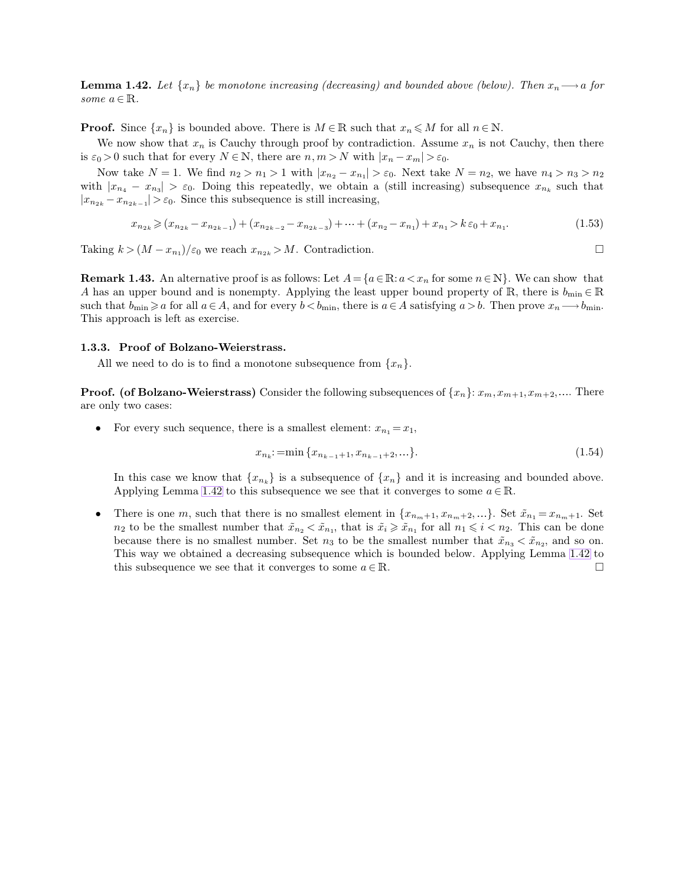<span id="page-11-0"></span>**Lemma 1.42.** Let  $\{x_n\}$  be monotone increasing (decreasing) and bounded above (below). Then  $x_n \longrightarrow a$  for *some*  $a \in \mathbb{R}$ *.* 

**Proof.** Since  $\{x_n\}$  is bounded above. There is  $M \in \mathbb{R}$  such that  $x_n \leq M$  for all  $n \in \mathbb{N}$ .

We now show that  $x_n$  is Cauchy through proof by contradiction. Assume  $x_n$  is not Cauchy, then there is  $\varepsilon_0 > 0$  such that for every  $N \in \mathbb{N}$ , there are  $n, m > N$  with  $|x_n - x_m| > \varepsilon_0$ .

Now take  $N = 1$ . We find  $n_2 > n_1 > 1$  with  $|x_{n_2} - x_{n_1}| > \varepsilon_0$ . Next take  $N = n_2$ , we have  $n_4 > n_3 > n_2$ with  $|x_{n_4} - x_{n_3}| > \varepsilon_0$ . Doing this repeatedly, we obtain a (still increasing) subsequence  $x_{n_k}$  such that  $|x_{n_{2k}} - x_{n_{2k-1}}| > \varepsilon_0$ . Since this subsequence is still increasing,

$$
x_{n_{2k}} \geqslant (x_{n_{2k}} - x_{n_{2k-1}}) + (x_{n_{2k-2}} - x_{n_{2k-3}}) + \dots + (x_{n_2} - x_{n_1}) + x_{n_1} > k \varepsilon_0 + x_{n_1}.\tag{1.53}
$$

Taking  $k > (M - x_{n_1})/\varepsilon_0$  we reach  $x_{n_{2k}} > M$ . Contradiction.

**Remark 1.43.** An alternative proof is as follows: Let  $A = \{a \in \mathbb{R} : a < x_n \text{ for some } n \in \mathbb{N}\}\.$  We can show that A has an upper bound and is nonempty. Applying the least upper bound property of R, there is  $b_{\min} \in \mathbb{R}$ such that  $b_{\min}\geq a$  for all  $a\in A$ , and for every  $b, there is  $a\in A$  satisfying  $a>b$ . Then prove  $x_n\longrightarrow b_{\min}$ .$ This approach is left as exercise.

#### **1.3.3. Proof of Bolzano-Weierstrass.**

All we need to do is to find a monotone subsequence from  $\{x_n\}$ .

**Proof.** (of Bolzano-Weierstrass) Consider the following subsequences of  $\{x_n\}: x_m, x_{m+1}, x_{m+2}, \ldots$  There are only two cases:

• For every such sequence, there is a smallest element:  $x_{n_1} = x_1$ ,

<span id="page-11-1"></span>
$$
x_{n_k} := \min\{x_{n_{k-1}+1}, x_{n_{k-1}+2}, \ldots\}.
$$
\n(1.54)

In this case we know that  ${x_{n_k}}$  is a subsequence of  ${x_n}$  and it is increasing and bounded above. Applying Lemma [1.42](#page-11-1) to this subsequence we see that it converges to some  $a \in \mathbb{R}$ .

• There is one m, such that there is no smallest element in  $\{x_{n_m+1}, x_{n_m+2}, ...\}$ . Set  $\tilde{x}_{n_1} = x_{n_m+1}$ . Set  $n_2$  to be the smallest number that  $\tilde{x}_{n_2} < \tilde{x}_{n_1}$ , that is  $\tilde{x}_i \geq \tilde{x}_{n_1}$  for all  $n_1 \leq i < n_2$ . This can be done because there is no smallest number. Set  $n_3$  to be the smallest number that  $\tilde{x}_{n_3} < \tilde{x}_{n_2}$ , and so on. This way we obtained a decreasing subsequence which is bounded below. Applying Lemma [1.42](#page-11-1) to this subsequence we see that it converges to some  $a \in \mathbb{R}$ .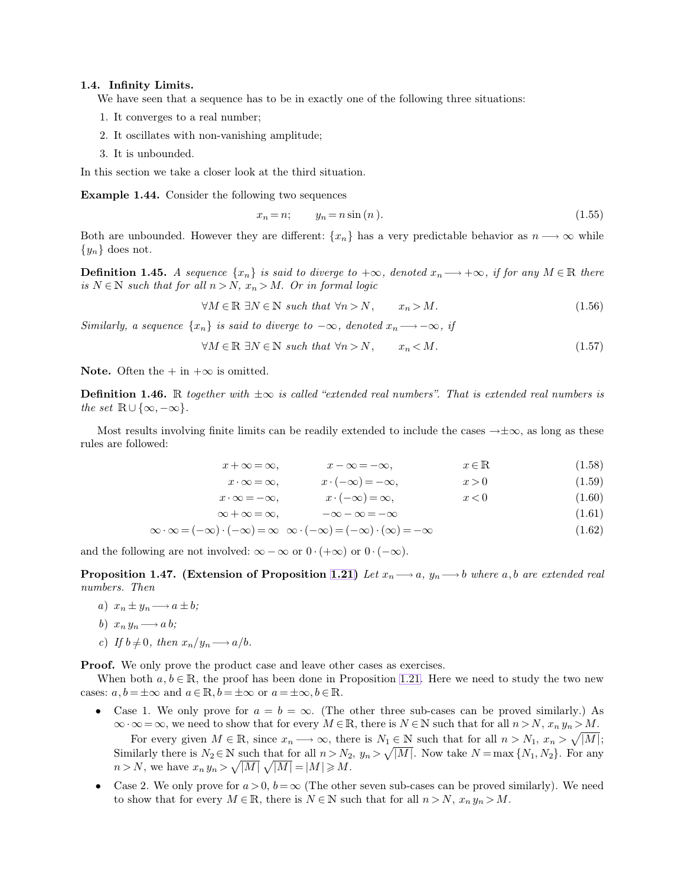### **1.4. Infinity Limits.**

We have seen that a sequence has to be in exactly one of the following three situations:

- 1. It converges to a real number;
- 2. It oscillates with non-vanishing amplitude;
- 3. It is unbounded.

In this section we take a closer look at the third situation.

**Example 1.44.** Consider the following two sequences

$$
x_n = n; \qquad y_n = n\sin\left(n\right). \tag{1.55}
$$

Both are unbounded. However they are different:  $\{x_n\}$  has a very predictable behavior as  $n \longrightarrow \infty$  while  $\{y_n\}$  does not.

**Definition 1.45.** *A sequence*  $\{x_n\}$  *is said to diverge to*  $+\infty$ *, denoted*  $x_n \longrightarrow +\infty$ *, if for any*  $M \in \mathbb{R}$  *there is*  $N \in \mathbb{N}$  *such that for all*  $n > N$ ,  $x_n > M$ . Or in formal logic

$$
\forall M \in \mathbb{R} \; \exists N \in \mathbb{N} \; such \; that \; \forall n > N, \qquad x_n > M. \tag{1.56}
$$

*Similarly, a sequence*  $\{x_n\}$  *is said to diverge to*  $-\infty$ *, denoted*  $x_n \longrightarrow -\infty$ *, if* 

$$
\forall M \in \mathbb{R} \exists N \in \mathbb{N} \text{ such that } \forall n > N, \qquad x_n < M. \tag{1.57}
$$

**Note.** Often the  $+$  in  $+\infty$  is omitted.

**Definition 1.46.** R *together with* ±∞ *is called "extended real numbers". That is extended real numbers is the set*  $\mathbb{R} \cup \{\infty, -\infty\}.$ 

Most results involving finite limits can be readily extended to include the cases  $\rightarrow \pm \infty$ , as long as these rules are followed:

$$
x + \infty = \infty, \qquad x - \infty = -\infty, \qquad x \in \mathbb{R} \tag{1.58}
$$

$$
x \cdot \infty = \infty, \qquad x \cdot (-\infty) = -\infty, \qquad x > 0 \tag{1.59}
$$

$$
x \cdot \infty = -\infty, \qquad x \cdot (-\infty) = \infty, \qquad x < 0 \tag{1.60}
$$

$$
\infty + \infty = \infty, \qquad -\infty - \infty = -\infty \tag{1.61}
$$

$$
\infty \cdot \infty = (-\infty) \cdot (-\infty) = \infty \quad \infty \cdot (-\infty) = (-\infty) \cdot (\infty) = -\infty \tag{1.62}
$$

and the following are not involved:  $\infty - \infty$  or  $0 \cdot (+\infty)$  or  $0 \cdot (-\infty)$ .

**Proposition 1.47. (Extension of Proposition [1.21\)](#page-5-2)** Let  $x_n \rightarrow a$ ,  $y_n \rightarrow b$  where a,b are extended real *numbers. Then*

*a*)  $x_n \pm y_n \longrightarrow a \pm b$ ;

b) 
$$
x_n y_n \longrightarrow a b;
$$

*c*) If  $b \neq 0$ , then  $x_n/y_n \longrightarrow a/b$ .

**Proof.** We only prove the product case and leave other cases as exercises.

When both  $a, b \in \mathbb{R}$ , the proof has been done in Proposition [1.21.](#page-5-2) Here we need to study the two new cases:  $a, b = \pm \infty$  and  $a \in \mathbb{R}, b = \pm \infty$  or  $a = \pm \infty, b \in \mathbb{R}$ .

- Case 1. We only prove for  $a = b = \infty$ . (The other three sub-cases can be proved similarly.) As  $\infty \cdot \infty = \infty$ , we need to show that for every  $M \in \mathbb{R}$ , there is  $N \in \mathbb{N}$  such that for all  $n > N$ ,  $x_n y_n > M$ . For every given  $M \in \mathbb{R}$ , since  $x_n \longrightarrow \infty$ , there is  $N_1 \subseteq N$  such that for all  $n > N_1$ ,  $x_n > \sqrt{|M|}$ ; Similarly there is  $N_2 \in \mathbb{N}$  such that for all  $n > N_2$ ,  $y_n > \sqrt{|M|}$ . Now take  $N = \max\{N_1, N_2\}$ . For any  $n > N$ , we have  $x_n y_n > \sqrt{|M|} \sqrt{|M|} = |M| \geq M$ .
- Case 2. We only prove for  $a > 0$ ,  $b = \infty$  (The other seven sub-cases can be proved similarly). We need to show that for every  $M \in \mathbb{R}$ , there is  $N \in \mathbb{N}$  such that for all  $n > N$ ,  $x_n y_n > M$ .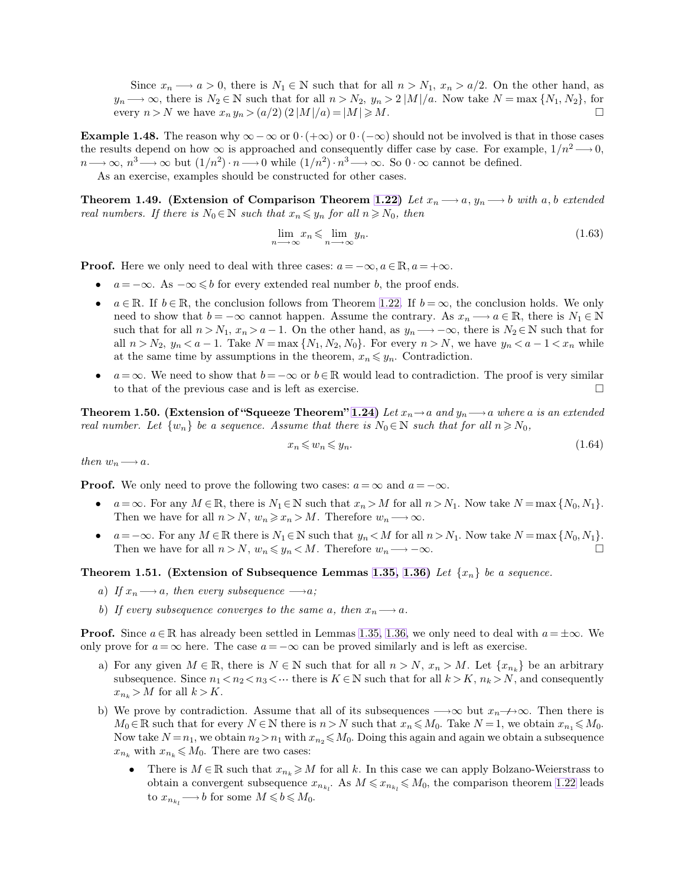Since  $x_n \longrightarrow a > 0$ , there is  $N_1 \in \mathbb{N}$  such that for all  $n > N_1$ ,  $x_n > a/2$ . On the other hand, as  $y_n \longrightarrow \infty$ , there is  $N_2 \in \mathbb{N}$  such that for all  $n > N_2$ ,  $y_n > 2 |M|/a$ . Now take  $N = \max\{N_1, N_2\}$ , for every  $n > N$  we have  $x_n y_n > (a/2) (2|M|/a) = |M| \ge M$ . every  $n > N$  we have  $x_n y_n > (a/2) (2|M|/a) = |M| \ge M$ .

**Example 1.48.** The reason why  $\infty - \infty$  or  $0 \cdot (+\infty)$  or  $0 \cdot (-\infty)$  should not be involved is that in those cases the results depend on how  $\infty$  is approached and consequently differ case by case. For example,  $1/n^2 \longrightarrow 0$ ,  $n \longrightarrow \infty$ ,  $n^3 \longrightarrow \infty$  but  $(1/n^2) \cdot n \longrightarrow 0$  while  $(1/n^2) \cdot n^3 \longrightarrow \infty$ . So  $0 \cdot \infty$  cannot be defined. As an exercise, examples should be constructed for other cases.

**Theorem 1.49.** (Extension of Comparison Theorem [1.22\)](#page-5-1) Let  $x_n \longrightarrow a$ ,  $y_n \longrightarrow b$  with a, b extended *real numbers. If there is*  $N_0 \in \mathbb{N}$  *such that*  $x_n \leq y_n$  *for all*  $n \geq N_0$ *, then* 

$$
\lim_{n \to \infty} x_n \leqslant \lim_{n \to \infty} y_n. \tag{1.63}
$$

**Proof.** Here we only need to deal with three cases:  $a = -\infty, a \in \mathbb{R}, a = +\infty$ .

- $a = -\infty$ . As  $-\infty \leq b$  for every extended real number b, the proof ends.
- $a \in \mathbb{R}$ . If  $b \in \mathbb{R}$ , the conclusion follows from Theorem [1.22.](#page-5-1) If  $b = \infty$ , the conclusion holds. We only need to show that  $b = -\infty$  cannot happen. Assume the contrary. As  $x_n \longrightarrow a \in \mathbb{R}$ , there is  $N_1 \in \mathbb{N}$ such that for all  $n > N_1$ ,  $x_n > a - 1$ . On the other hand, as  $y_n \longrightarrow -\infty$ , there is  $N_2 \in \mathbb{N}$  such that for all  $n > N_2$ ,  $y_n < a - 1$ . Take  $N = \max\{N_1, N_2, N_0\}$ . For every  $n > N$ , we have  $y_n < a - 1 < x_n$  while at the same time by assumptions in the theorem,  $x_n \leq y_n$ . Contradiction.
- $a = \infty$ . We need to show that  $b = -\infty$  or  $b \in \mathbb{R}$  would lead to contradiction. The proof is very similar to that of the previous case and is left as exercise.

**Theorem 1.50. (Extension of "Squeeze Theorem" [1.24\)](#page-6-1)** *Let*  $x_n \to a$  *and*  $y_n \to a$  *where* a *is an extended real number. Let*  $\{w_n\}$  *be a sequence. Assume that there is*  $N_0 \in \mathbb{N}$  *such that for all*  $n \geq N_0$ ,

$$
x_n \leqslant w_n \leqslant y_n. \tag{1.64}
$$

*then*  $w_n \longrightarrow a$ *.* 

**Proof.** We only need to prove the following two cases:  $a = \infty$  and  $a = -\infty$ .

- $a = \infty$ . For any  $M \in \mathbb{R}$ , there is  $N_1 \in \mathbb{N}$  such that  $x_n > M$  for all  $n > N_1$ . Now take  $N = \max\{N_0, N_1\}$ . Then we have for all  $n > N$ ,  $w_n \geq x_n > M$ . Therefore  $w_n \longrightarrow \infty$ .
- $a=-\infty$ . For any  $M \in \mathbb{R}$  there is  $N_1 \in \mathbb{N}$  such that  $y_n < M$  for all  $n>N_1$ . Now take  $N = \max\{N_0, N_1\}$ . Then we have for all  $n > N$ ,  $w_n \leq y_n < M$ . Therefore  $w_n \longrightarrow -\infty$ .

**Theorem 1.51. (Extension of Subsequence Lemmas [1.35,](#page-9-1) [1.36\)](#page-9-2)** *Let* {x<sup>n</sup>} *be a sequence.*

- *a*) If  $x_n \longrightarrow a$ , then every subsequence  $\longrightarrow a$ ;
- *b*) If every subsequence converges to the same a, then  $x_n \rightarrow a$ .

**Proof.** Since  $a \in \mathbb{R}$  has already been settled in Lemmas [1.35,](#page-9-1) [1.36,](#page-9-2) we only need to deal with  $a = \pm \infty$ . We only prove for  $a = \infty$  here. The case  $a = -\infty$  can be proved similarly and is left as exercise.

- a) For any given  $M \in \mathbb{R}$ , there is  $N \in \mathbb{N}$  such that for all  $n > N$ ,  $x_n > M$ . Let  $\{x_{n_k}\}\)$  be an arbitrary subsequence. Since  $n_1 < n_2 < n_3 < \cdots$  there is  $K \in \mathbb{N}$  such that for all  $k > K$ ,  $n_k > N$ , and consequently  $x_{n_k} > M$  for all  $k > K$ .
- b) We prove by contradiction. Assume that all of its subsequences  $\rightarrow \infty$  but  $x_n \rightarrow \infty$ . Then there is  $M_0 \in \mathbb{R}$  such that for every  $N \in \mathbb{N}$  there is  $n > N$  such that  $x_n \leq M_0$ . Take  $N = 1$ , we obtain  $x_{n_1} \leqslant M_0$ . Now take  $N = n_1$ , we obtain  $n_2 > n_1$  with  $x_{n_2} \leq M_0$ . Doing this again and again we obtain a subsequence  $x_{n_k}$  with  $x_{n_k} \leqslant M_0$ . There are two cases:
	- There is  $M \in \mathbb{R}$  such that  $x_{n_k} \geqslant M$  for all k. In this case we can apply Bolzano-Weierstrass to obtain a convergent subsequence  $x_{n_{k_l}}$ . As  $M \leqslant x_{n_{k_l}} \leqslant M_0$ , the comparison theorem [1.22](#page-5-1) leads to  $x_{n_{k_l}} \longrightarrow b$  for some  $M \leqslant b \leqslant M_0$ .